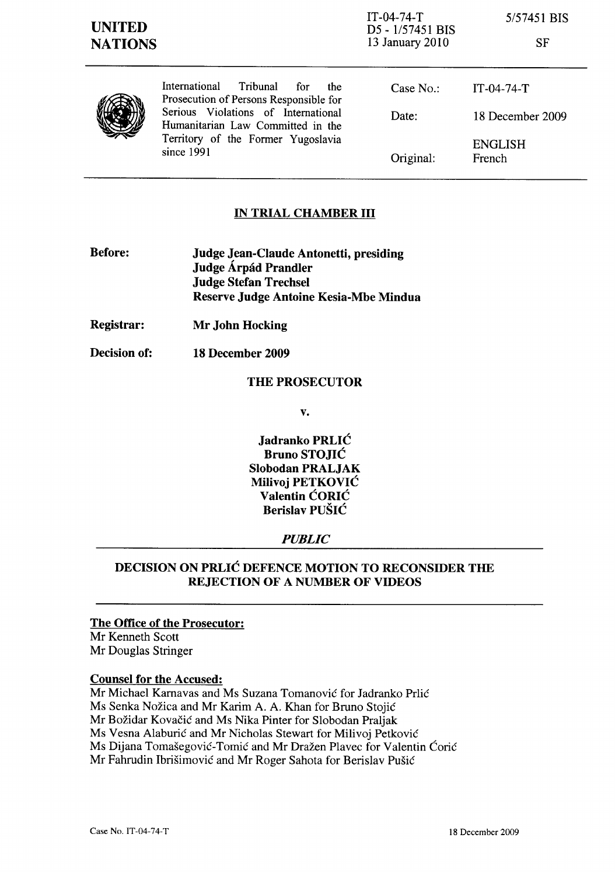IT-04-74-T D5 - 1/57451 BIS 13 January 2010

*5/57451* BIS

|--|

| ۹<br>V<br>47<br>ŵ<br>۰.<br>ī, |
|-------------------------------|
|-------------------------------|

International Tribunal for the Prosecution of Persons Responsible for Serious Violations of International Humanitarian Law Committed in the Territory of the Former Yugoslavia since 1991

| Case $No.$ : | IT-04-74-T        |
|--------------|-------------------|
| Date:        | 18 December 2009  |
| Original:    | ENGLISH<br>French |

# IN TRIAL CHAMBER III

- Before: Judge Jean-Claude Antonetti, presiding Judge Árpád Prandler Judge Stefan Trechsel Reserve Judge Antoine Kesia-Mbe Mindua
- Registrar: Mr John Hocking
- Decision of: 18 December 2009

### THE PROSECUTOR

v.

Jadranko PRLIĆ Bruno STOJIC Slobodan PRALJAK Milivoj PETKOVIC Valentin CORIC Berislav PUSIC

## *PUBLIC*

# DECISION ON PRLIC DEFENCE MOTION TO RECONSIDER THE REJECTION OF A NUMBER OF VIDEOS

## The Office of the Prosecutor:

Mr Kenneth Scott Mr Douglas Stringer

### Counsel for the Accused:

Mr Michael Karnavas and Ms Suzana Tomanović for Jadranko Prlić Ms Senka Nožica and Mr Karim A. A. Khan for Bruno Stojić Mr Božidar Kovačić and Ms Nika Pinter for Slobodan Praljak Ms Vesna Alaburić and Mr Nicholas Stewart for Milivoj Petković Ms Dijana Tomašegović-Tomić and Mr Dražen Plavec for Valentin Ćorić Mr Fahrudin Ibrišimović and Mr Roger Sahota for Berislav Pušić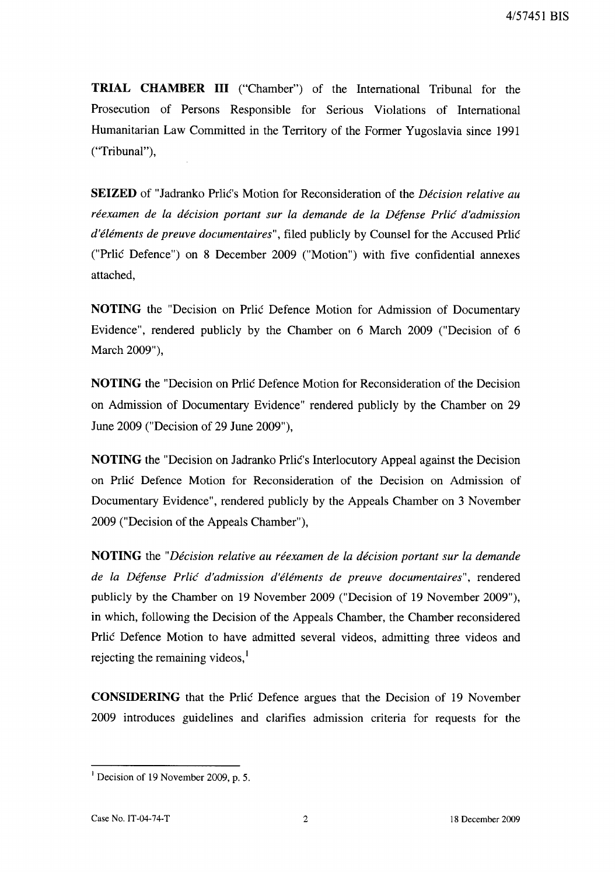**TRIAL CHAMBER III** ("Chamber") of the International Tribunal for the Prosecution of Persons Responsible for Serious Violations of International Humanitarian Law Committed in the Territory of the Former Yugoslavia since 1991 ("Tribunal"),

**SEIZED** of "Jadranko Prlic's Motion for Reconsideration of the *Decision relative au reexamen de la decision portant sur la demande de la Defense Prlic d'admission d'elements de preuve documentaires",* filed publicly by Counsel for the Accused Prlic ("Prlic Defence") on 8 December 2009 ("Motion") with five confidential annexes attached,

**NOTING** the "Decision on Prlic Defence Motion for Admission of Documentary Evidence", rendered publicly by the Chamber on 6 March 2009 ("Decision of 6 March 2009"),

**NOTING** the "Decision on Prlic Defence Motion for Reconsideration of the Decision on Admission of Documentary Evidence" rendered publicly by the Chamber on 29 June 2009 ("Decision of 29 June 2009"),

**NOTING** the "Decision on Jadranko Prlic's Interlocutory Appeal against the Decision on Prlic Defence Motion for Reconsideration of the Decision on Admission of Documentary Evidence", rendered publicly by the Appeals Chamber on 3 November 2009 ("Decision of the Appeals Chamber"),

**NOTING** the *"Decision relative au reexamen de la decision portant sur la demande de la Defense Prlic d'admission d'elements de preuve documentaires",* rendered publicly by the Chamber on 19 November 2009 ("Decision of 19 November 2009"), in which, following the Decision of the Appeals Chamber, the Chamber reconsidered Prlic Defence Motion to have admitted several videos, admitting three videos and rejecting the remaining videos, $<sup>1</sup>$ </sup>

**CONSIDERING** that the Prlic Defence argues that the Decision of 19 November 2009 introduces guidelines and clarifies admission criteria for requests for the

<sup>&</sup>lt;sup>1</sup> Decision of 19 November 2009, p. 5.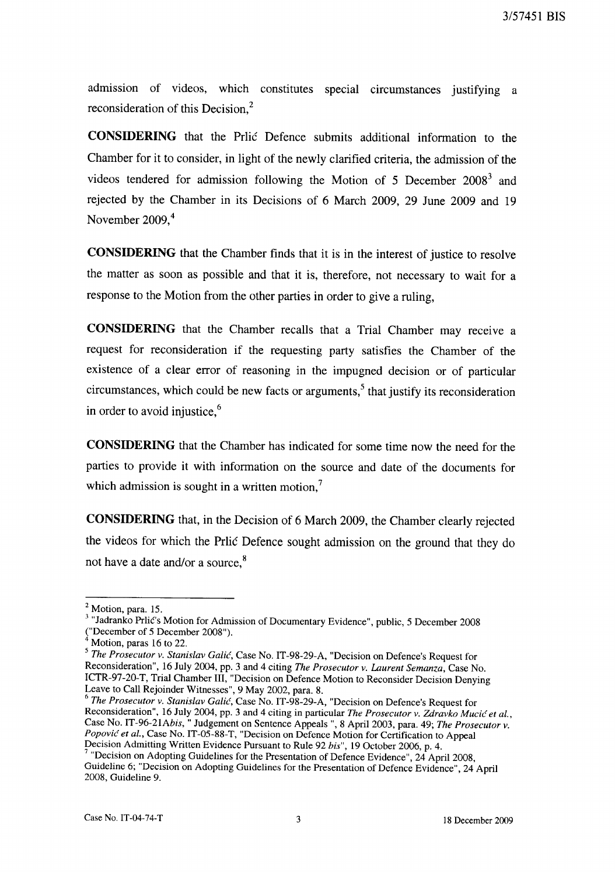admission of videos, which constitutes special circumstances justifying a reconsideration of this Decision,<sup>2</sup>

**CONSIDERING** that the Prlic Defence submits additional information to the Chamber for it to consider, in light of the newly clarified criteria, the admission of the videos tendered for admission following the Motion of 5 December  $2008<sup>3</sup>$  and rejected by the Chamber in its Decisions of 6 March 2009, 29 June 2009 and 19 November 2009, <sup>4</sup>

**CONSIDERING** that the Chamber finds that it is in the interest of justice to resolve the matter as soon as possible and that it is, therefore, not necessary to wait for a response to the Motion from the other parties in order to give a ruling,

**CONSIDERING** that the Chamber recalls that a Trial Chamber may receive a request for reconsideration if the requesting party satisfies the Chamber of the existence of a clear error of reasoning in the impugned decision or of particular circumstances, which could be new facts or arguments,<sup>5</sup> that justify its reconsideration in order to avoid injustice. $6$ 

**CONSIDERING** that the Chamber has indicated for some time now the need for the parties to provide it with information on the source and date of the documents for which admission is sought in a written motion, $<sup>7</sup>$ </sup>

**CONSIDERING** that, in the Decision of 6 March 2009, the Chamber clearly rejected the videos for which the Prlic Defence sought admission on the ground that they do not have a date and/or a source,<sup>8</sup>

*6 The Prosecutor v. Stanislav Galic,* Case No. IT-98-29-A, "Decision on Defence's Request for Reconsideration", 16 July 2004, pp. 3 and 4 citing in particular *The Prosecutor v. Zdravko Mucic et al.,*  Case No. *IT-96-21Abis,* " Judgement on Sentence Appeals ", 8 April 2003, para. 49; *The Prosecutor v. Popovic et aI.,* Case No. IT-05-88-T, "Decision on Defence Motion for Certification to Appeal Decision Admitting Written Evidence Pursuant to Rule 92 *bis",* 19 October 2006, p. 4.

<sup>&</sup>lt;sup>2</sup> Motion, para. 15.

<sup>&</sup>lt;sup>3</sup> "Jadranko Prlic's Motion for Admission of Documentary Evidence", public, 5 December 2008 ("December of 5 December 2008").

Motion, paras 16 to 22.

*<sup>5</sup> The Prosecutor v. Stanislav Galic,* Case No. IT-98-29-A, "Decision on Defence's Request for Reconsideration", 16 July 2004, pp. 3 and 4 citing *The Prosecutor v. Laurent Semanza,* Case No. ICTR-97-20-T, Trial Chamber Ill, "Decision on Defence Motion to Reconsider Decision Denying Leave to Call Rejoinder Witnesses", 9 May 2002, para. 8.

<sup>7 &</sup>quot;Decision on Adopting Guidelines for the Presentation of Defence Evidence", 24 April 2008, Guideline 6; "Decision on Adopting Guidelines for the Presentation of Defence Evidence", 24 April 2008, Guideline 9.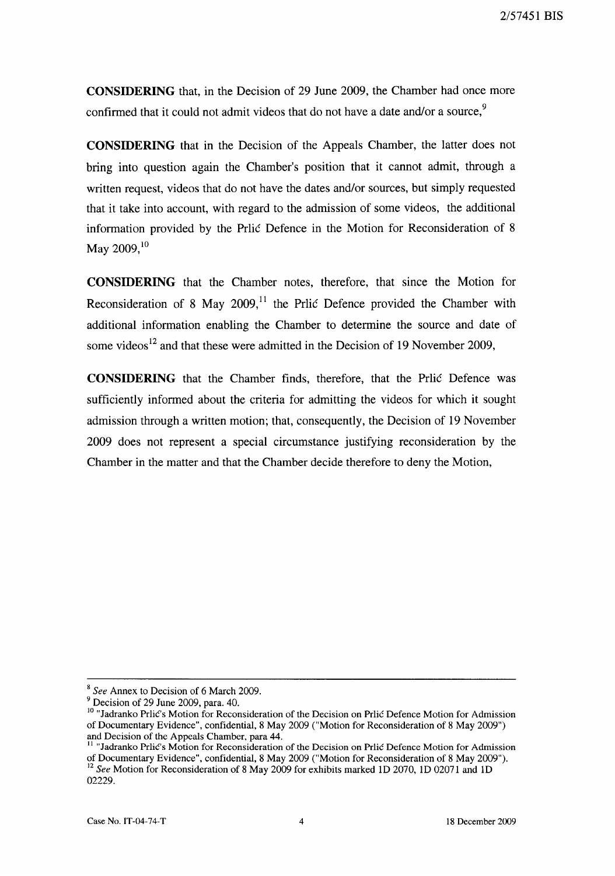**CONSIDERING** that, in the Decision of 29 June 2009, the Chamber had once more confirmed that it could not admit videos that do not have a date and/or a source,  $9$ 

**CONSIDERING** that in the Decision of the Appeals Chamber, the latter does not bring into question again the Chamber's position that it cannot admit, through a written request, videos that do not have the dates and/or sources, but simply requested that it take into account, with regard to the admission of some videos, the additional information provided by the Prlic Defence in the Motion for Reconsideration of 8 May 2009, $10$ 

**CONSIDERING** that the Chamber notes, therefore, that since the Motion for Reconsideration of 8 May 2009,<sup>11</sup> the Prlic Defence provided the Chamber with additional information enabling the Chamber to determine the source and date of some videos<sup>12</sup> and that these were admitted in the Decision of 19 November 2009,

**CONSIDERING** that the Chamber finds, therefore, that the Prlic Defence was sufficiently informed about the criteria for admitting the videos for which it sought admission through a written motion; that, consequently, the Decision of 19 November 2009 does not represent a special circumstance justifying reconsideration by the Chamber in the matter and that the Chamber decide therefore to deny the Motion,

<sup>8</sup>*See* Annex to Decision of 6 March 2009.

<sup>9</sup> Decision of 29 June 2009, para. 40.

<sup>&</sup>lt;sup>10</sup> "Jadranko Prlic's Motion for Reconsideration of the Decision on Prlic Defence Motion for Admission of Documentary Evidence", confidential, 8 May 2009 ("Motion for Reconsideration of 8 May 2009") and Decision of the Appeals Chamber, para 44.

<sup>&</sup>lt;sup>11</sup> "Jadranko Prlic's Motion for Reconsideration of the Decision on Prlic Defence Motion for Admission of Documentary Evidence", confidential, 8 May 2009 ("Motion for Reconsideration of 8 May 2009"). <sup>12</sup>*See* Motion for Reconsideration of 8 May 2009 for exhibits marked ID 2070, ID 02071 and ID 02229.